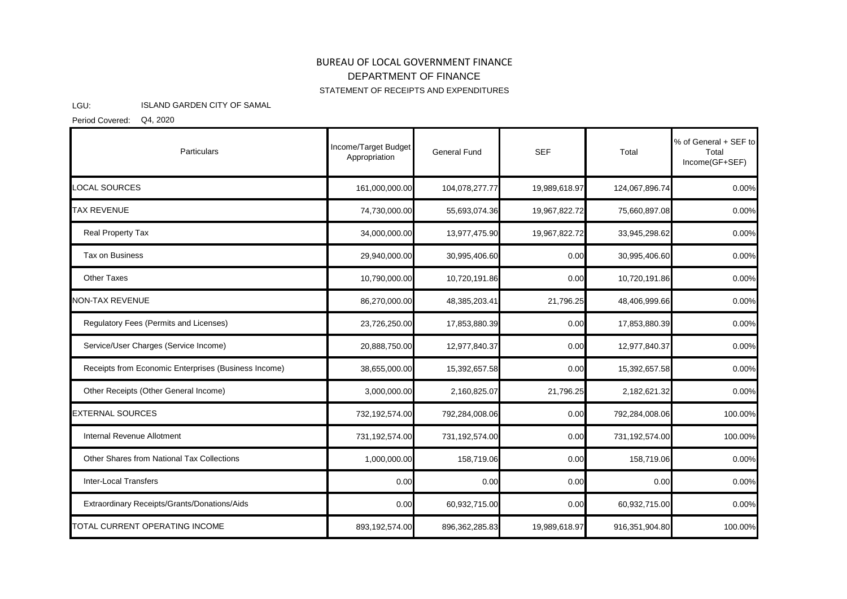## BUREAU OF LOCAL GOVERNMENT FINANCE STATEMENT OF RECEIPTS AND EXPENDITURES DEPARTMENT OF FINANCE

## LGU: ISLAND GARDEN CITY OF SAMAL

Period Covered: Q4, 2020

| Particulars                                          | Income/Target Budget<br>Appropriation | General Fund     | <b>SEF</b>    | Total          | % of General + SEF to<br>Total<br>Income(GF+SEF) |
|------------------------------------------------------|---------------------------------------|------------------|---------------|----------------|--------------------------------------------------|
| LOCAL SOURCES                                        | 161,000,000.00                        | 104,078,277.77   | 19,989,618.97 | 124,067,896.74 | 0.00%                                            |
| <b>TAX REVENUE</b>                                   | 74,730,000.00                         | 55,693,074.36    | 19,967,822.72 | 75,660,897.08  | 0.00%                                            |
| Real Property Tax                                    | 34,000,000.00                         | 13,977,475.90    | 19,967,822.72 | 33,945,298.62  | 0.00%                                            |
| Tax on Business                                      | 29,940,000.00                         | 30,995,406.60    | 0.00          | 30,995,406.60  | 0.00%                                            |
| <b>Other Taxes</b>                                   | 10,790,000.00                         | 10,720,191.86    | 0.00          | 10,720,191.86  | 0.00%                                            |
| <b>NON-TAX REVENUE</b>                               | 86,270,000.00                         | 48,385,203.41    | 21,796.25     | 48,406,999.66  | 0.00%                                            |
| Regulatory Fees (Permits and Licenses)               | 23,726,250.00                         | 17,853,880.39    | 0.00          | 17,853,880.39  | 0.00%                                            |
| Service/User Charges (Service Income)                | 20,888,750.00                         | 12,977,840.37    | 0.00          | 12,977,840.37  | 0.00%                                            |
| Receipts from Economic Enterprises (Business Income) | 38,655,000.00                         | 15,392,657.58    | 0.00          | 15,392,657.58  | 0.00%                                            |
| Other Receipts (Other General Income)                | 3,000,000.00                          | 2,160,825.07     | 21,796.25     | 2,182,621.32   | 0.00%                                            |
| <b>EXTERNAL SOURCES</b>                              | 732,192,574.00                        | 792,284,008.06   | 0.00          | 792,284,008.06 | 100.00%                                          |
| Internal Revenue Allotment                           | 731,192,574.00                        | 731,192,574.00   | 0.00          | 731,192,574.00 | 100.00%                                          |
| Other Shares from National Tax Collections           | 1,000,000.00                          | 158,719.06       | 0.00          | 158,719.06     | 0.00%                                            |
| Inter-Local Transfers                                | 0.00                                  | 0.00             | 0.00          | 0.00           | 0.00%                                            |
| Extraordinary Receipts/Grants/Donations/Aids         | 0.00                                  | 60,932,715.00    | 0.00          | 60,932,715.00  | 0.00%                                            |
| TOTAL CURRENT OPERATING INCOME                       | 893,192,574.00                        | 896, 362, 285.83 | 19,989,618.97 | 916,351,904.80 | 100.00%                                          |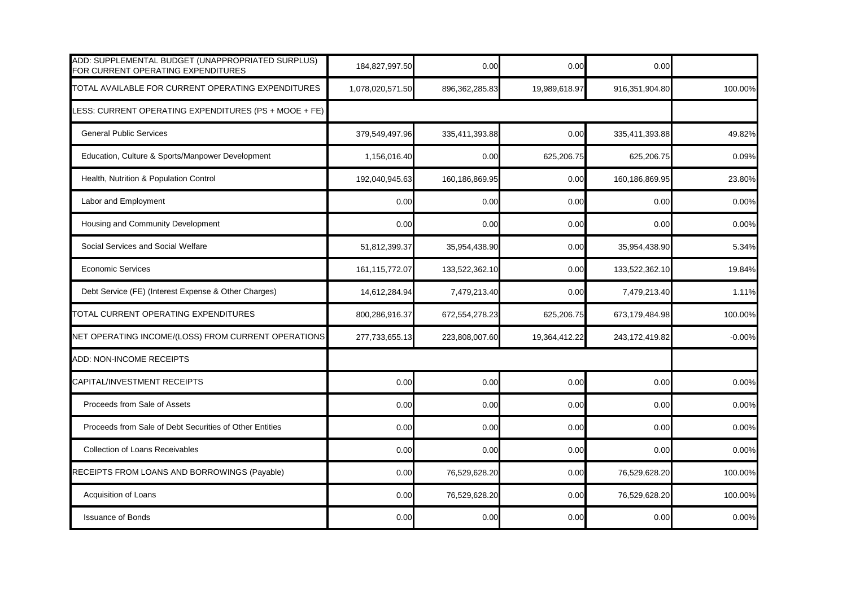| ADD: SUPPLEMENTAL BUDGET (UNAPPROPRIATED SURPLUS)<br>FOR CURRENT OPERATING EXPENDITURES | 184,827,997.50   | 0.00             | 0.00          | 0.00             |          |
|-----------------------------------------------------------------------------------------|------------------|------------------|---------------|------------------|----------|
| TOTAL AVAILABLE FOR CURRENT OPERATING EXPENDITURES                                      | 1,078,020,571.50 | 896, 362, 285.83 | 19,989,618.97 | 916,351,904.80   | 100.00%  |
| LESS: CURRENT OPERATING EXPENDITURES (PS + MOOE + FE)                                   |                  |                  |               |                  |          |
| <b>General Public Services</b>                                                          | 379,549,497.96   | 335,411,393.88   | 0.00          | 335,411,393.88   | 49.82%   |
| Education, Culture & Sports/Manpower Development                                        | 1,156,016.40     | 0.00             | 625,206.75    | 625,206.75       | 0.09%    |
| Health, Nutrition & Population Control                                                  | 192,040,945.63   | 160,186,869.95   | 0.00          | 160,186,869.95   | 23.80%   |
| Labor and Employment                                                                    | 0.00             | 0.00             | 0.00          | 0.00             | 0.00%    |
| Housing and Community Development                                                       | 0.00             | 0.00             | 0.00          | 0.00             | 0.00%    |
| Social Services and Social Welfare                                                      | 51,812,399.37    | 35,954,438.90    | 0.00          | 35,954,438.90    | 5.34%    |
| <b>Economic Services</b>                                                                | 161, 115, 772.07 | 133,522,362.10   | 0.00          | 133,522,362.10   | 19.84%   |
| Debt Service (FE) (Interest Expense & Other Charges)                                    | 14,612,284.94    | 7,479,213.40     | 0.00          | 7,479,213.40     | 1.11%    |
| TOTAL CURRENT OPERATING EXPENDITURES                                                    | 800,286,916.37   | 672,554,278.23   | 625,206.75    | 673,179,484.98   | 100.00%  |
| NET OPERATING INCOME/(LOSS) FROM CURRENT OPERATIONS                                     | 277,733,655.13   | 223,808,007.60   | 19,364,412.22 | 243, 172, 419.82 | $-0.00%$ |
| ADD: NON-INCOME RECEIPTS                                                                |                  |                  |               |                  |          |
| CAPITAL/INVESTMENT RECEIPTS                                                             | 0.00             | 0.00             | 0.00          | 0.00             | 0.00%    |
| Proceeds from Sale of Assets                                                            | 0.00             | 0.00             | 0.00          | 0.00             | 0.00%    |
| Proceeds from Sale of Debt Securities of Other Entities                                 | 0.00             | 0.00             | 0.00          | 0.00             | 0.00%    |
| <b>Collection of Loans Receivables</b>                                                  | 0.00             | 0.00             | 0.00          | 0.00             | 0.00%    |
| RECEIPTS FROM LOANS AND BORROWINGS (Payable)                                            | 0.00             | 76,529,628.20    | 0.00          | 76,529,628.20    | 100.00%  |
| Acquisition of Loans                                                                    | 0.00             | 76,529,628.20    | 0.00          | 76,529,628.20    | 100.00%  |
| <b>Issuance of Bonds</b>                                                                | 0.00             | 0.00             | 0.00          | 0.00             | 0.00%    |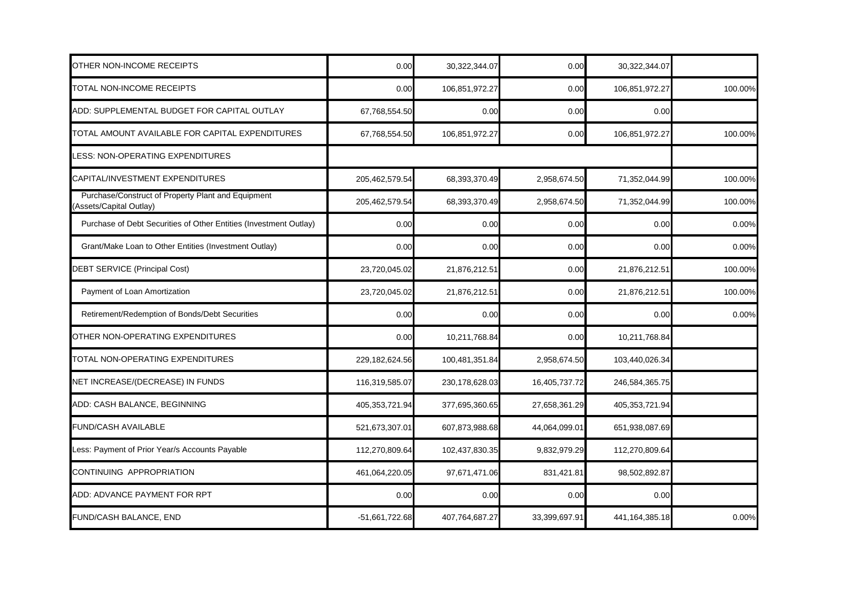| OTHER NON-INCOME RECEIPTS                                                    | 0.00           | 30,322,344.07    | 0.00          | 30,322,344.07     |         |
|------------------------------------------------------------------------------|----------------|------------------|---------------|-------------------|---------|
| TOTAL NON-INCOME RECEIPTS                                                    | 0.00           | 106,851,972.27   | 0.00          | 106,851,972.27    | 100.00% |
| ADD: SUPPLEMENTAL BUDGET FOR CAPITAL OUTLAY                                  | 67,768,554.50  | 0.00             | 0.00          | 0.00              |         |
| TOTAL AMOUNT AVAILABLE FOR CAPITAL EXPENDITURES                              | 67,768,554.50  | 106,851,972.27   | 0.00          | 106,851,972.27    | 100.00% |
| LESS: NON-OPERATING EXPENDITURES                                             |                |                  |               |                   |         |
| CAPITAL/INVESTMENT EXPENDITURES                                              | 205,462,579.54 | 68,393,370.49    | 2,958,674.50  | 71,352,044.99     | 100.00% |
| Purchase/Construct of Property Plant and Equipment<br>Assets/Capital Outlay) | 205,462,579.54 | 68,393,370.49    | 2,958,674.50  | 71,352,044.99     | 100.00% |
| Purchase of Debt Securities of Other Entities (Investment Outlay)            | 0.00           | 0.00             | 0.00          | 0.00              | 0.00%   |
| Grant/Make Loan to Other Entities (Investment Outlay)                        | 0.00           | 0.00             | 0.00          | 0.00              | 0.00%   |
| DEBT SERVICE (Principal Cost)                                                | 23,720,045.02  | 21,876,212.51    | 0.00          | 21,876,212.51     | 100.00% |
| Payment of Loan Amortization                                                 | 23,720,045.02  | 21,876,212.51    | 0.00          | 21,876,212.51     | 100.00% |
| Retirement/Redemption of Bonds/Debt Securities                               | 0.00           | 0.00             | 0.00          | 0.00              | 0.00%   |
| OTHER NON-OPERATING EXPENDITURES                                             | 0.00           | 10,211,768.84    | 0.00          | 10,211,768.84     |         |
| TOTAL NON-OPERATING EXPENDITURES                                             | 229,182,624.56 | 100,481,351.84   | 2,958,674.50  | 103,440,026.34    |         |
| NET INCREASE/(DECREASE) IN FUNDS                                             | 116,319,585.07 | 230, 178, 628.03 | 16,405,737.72 | 246,584,365.75    |         |
| ADD: CASH BALANCE, BEGINNING                                                 | 405,353,721.94 | 377,695,360.65   | 27,658,361.29 | 405,353,721.94    |         |
| <b>FUND/CASH AVAILABLE</b>                                                   | 521,673,307.01 | 607,873,988.68   | 44,064,099.01 | 651,938,087.69    |         |
| Less: Payment of Prior Year/s Accounts Payable                               | 112,270,809.64 | 102,437,830.35   | 9,832,979.29  | 112,270,809.64    |         |
| CONTINUING APPROPRIATION                                                     | 461,064,220.05 | 97,671,471.06    | 831,421.81    | 98,502,892.87     |         |
| ADD: ADVANCE PAYMENT FOR RPT                                                 | 0.00           | 0.00             | 0.00          | 0.00              |         |
| <b>FUND/CASH BALANCE, END</b>                                                | -51,661,722.68 | 407,764,687.27   | 33,399,697.91 | 441, 164, 385. 18 | 0.00%   |